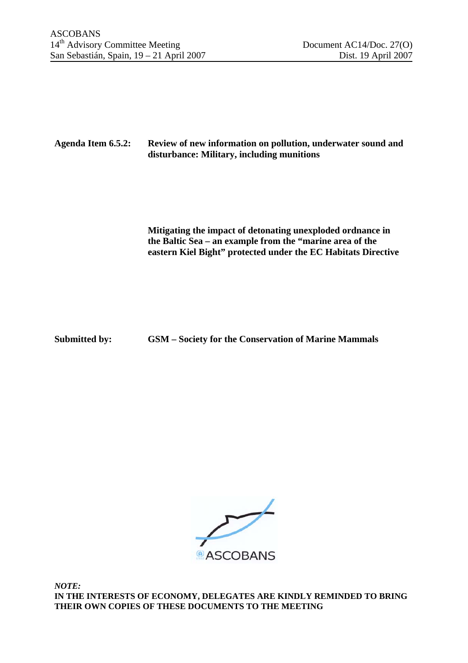## **Agenda Item 6.5.2: Review of new information on pollution, underwater sound and disturbance: Military, including munitions**

**Mitigating the impact of detonating unexploded ordnance in the Baltic Sea – an example from the "marine area of the eastern Kiel Bight" protected under the EC Habitats Directive** 

**Submitted by: GSM – Society for the Conservation of Marine Mammals** 



*NOTE:*  **IN THE INTERESTS OF ECONOMY, DELEGATES ARE KINDLY REMINDED TO BRING THEIR OWN COPIES OF THESE DOCUMENTS TO THE MEETING**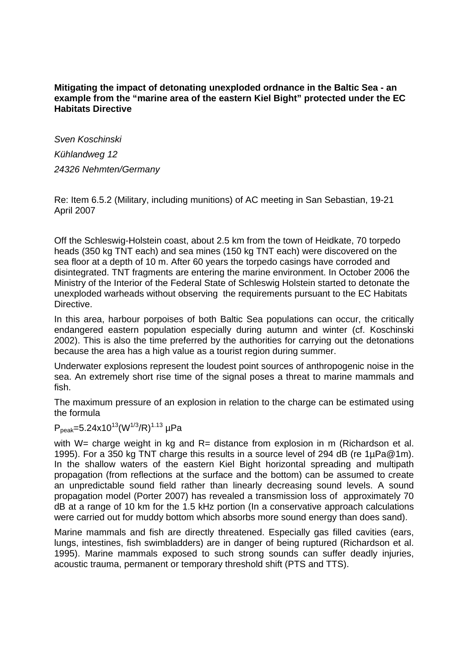## **Mitigating the impact of detonating unexploded ordnance in the Baltic Sea - an example from the "marine area of the eastern Kiel Bight" protected under the EC Habitats Directive**

*Sven Koschinski Kühlandweg 12 24326 Nehmten/Germany* 

Re: Item 6.5.2 (Military, including munitions) of AC meeting in San Sebastian, 19-21 April 2007

Off the Schleswig-Holstein coast, about 2.5 km from the town of Heidkate, 70 torpedo heads (350 kg TNT each) and sea mines (150 kg TNT each) were discovered on the sea floor at a depth of 10 m. After 60 years the torpedo casings have corroded and disintegrated. TNT fragments are entering the marine environment. In October 2006 the Ministry of the Interior of the Federal State of Schleswig Holstein started to detonate the unexploded warheads without observing the requirements pursuant to the EC Habitats Directive.

In this area, harbour porpoises of both Baltic Sea populations can occur, the critically endangered eastern population especially during autumn and winter (cf. Koschinski 2002). This is also the time preferred by the authorities for carrying out the detonations because the area has a high value as a tourist region during summer.

Underwater explosions represent the loudest point sources of anthropogenic noise in the sea. An extremely short rise time of the signal poses a threat to marine mammals and fish.

The maximum pressure of an explosion in relation to the charge can be estimated using the formula

 $P_{peak}=5.24x10^{13}(W^{1/3}/R)^{1.13}$  uPa

with W= charge weight in kg and R= distance from explosion in m (Richardson et al. 1995). For a 350 kg TNT charge this results in a source level of 294 dB (re 1µPa@1m). In the shallow waters of the eastern Kiel Bight horizontal spreading and multipath propagation (from reflections at the surface and the bottom) can be assumed to create an unpredictable sound field rather than linearly decreasing sound levels. A sound propagation model (Porter 2007) has revealed a transmission loss of approximately 70 dB at a range of 10 km for the 1.5 kHz portion (In a conservative approach calculations were carried out for muddy bottom which absorbs more sound energy than does sand).

Marine mammals and fish are directly threatened. Especially gas filled cavities (ears, lungs, intestines, fish swimbladders) are in danger of being ruptured (Richardson et al. 1995). Marine mammals exposed to such strong sounds can suffer deadly injuries, acoustic trauma, permanent or temporary threshold shift (PTS and TTS).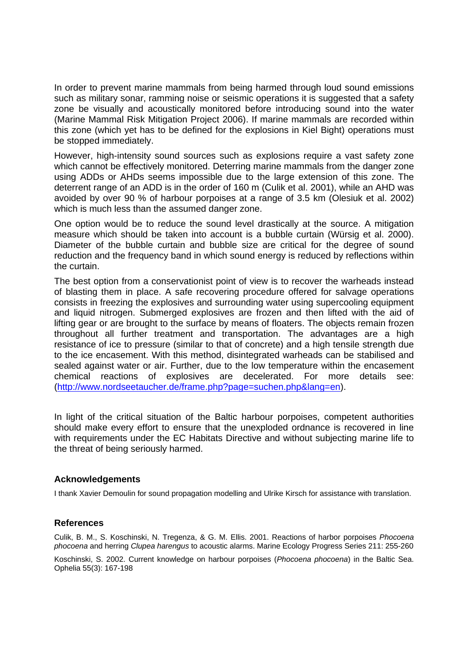In order to prevent marine mammals from being harmed through loud sound emissions such as military sonar, ramming noise or seismic operations it is suggested that a safety zone be visually and acoustically monitored before introducing sound into the water (Marine Mammal Risk Mitigation Project 2006). If marine mammals are recorded within this zone (which yet has to be defined for the explosions in Kiel Bight) operations must be stopped immediately.

However, high-intensity sound sources such as explosions require a vast safety zone which cannot be effectively monitored. Deterring marine mammals from the danger zone using ADDs or AHDs seems impossible due to the large extension of this zone. The deterrent range of an ADD is in the order of 160 m (Culik et al. 2001), while an AHD was avoided by over 90 % of harbour porpoises at a range of 3.5 km (Olesiuk et al. 2002) which is much less than the assumed danger zone.

One option would be to reduce the sound level drastically at the source. A mitigation measure which should be taken into account is a bubble curtain (Würsig et al. 2000). Diameter of the bubble curtain and bubble size are critical for the degree of sound reduction and the frequency band in which sound energy is reduced by reflections within the curtain.

The best option from a conservationist point of view is to recover the warheads instead of blasting them in place. A safe recovering procedure offered for salvage operations consists in freezing the explosives and surrounding water using supercooling equipment and liquid nitrogen. Submerged explosives are frozen and then lifted with the aid of lifting gear or are brought to the surface by means of floaters. The objects remain frozen throughout all further treatment and transportation. The advantages are a high resistance of ice to pressure (similar to that of concrete) and a high tensile strength due to the ice encasement. With this method, disintegrated warheads can be stabilised and sealed against water or air. Further, due to the low temperature within the encasement chemical reactions of explosives are decelerated. For more details see: (http://www.nordseetaucher.de/frame.php?page=suchen.php&lang=en).

In light of the critical situation of the Baltic harbour porpoises, competent authorities should make every effort to ensure that the unexploded ordnance is recovered in line with requirements under the EC Habitats Directive and without subjecting marine life to the threat of being seriously harmed.

## **Acknowledgements**

I thank Xavier Demoulin for sound propagation modelling and Ulrike Kirsch for assistance with translation.

## **References**

Culik, B. M., S. Koschinski, N. Tregenza, & G. M. Ellis. 2001. Reactions of harbor porpoises *Phocoena phocoena* and herring *Clupea harengus* to acoustic alarms. Marine Ecology Progress Series 211: 255-260

Koschinski, S. 2002. Current knowledge on harbour porpoises (*Phocoena phocoena*) in the Baltic Sea. Ophelia 55(3): 167-198